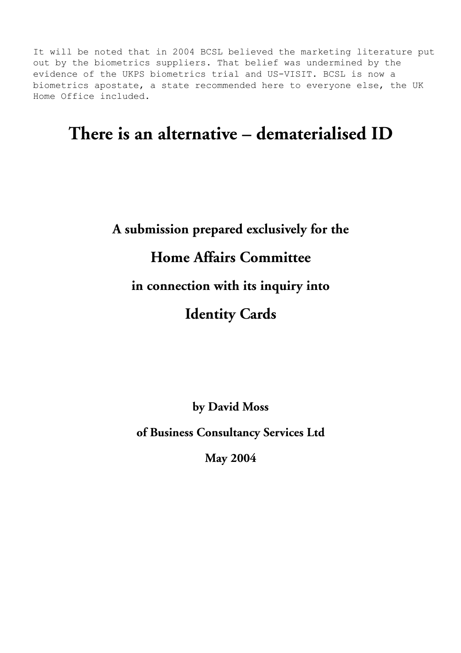It will be noted that in 2004 BCSL believed the marketing literature put out by the biometrics suppliers. That belief was undermined by the evidence of the UKPS biometrics trial and US-VISIT. BCSL is now a biometrics apostate, a state recommended here to everyone else, the UK Home Office included.

## **There is an alternative – dematerialised ID**

## **A submission prepared exclusively for the Home Affairs Committee in connection with its inquiry into Identity Cards**

**by David Moss** 

**of Business Consultancy Services Ltd** 

**May 2004**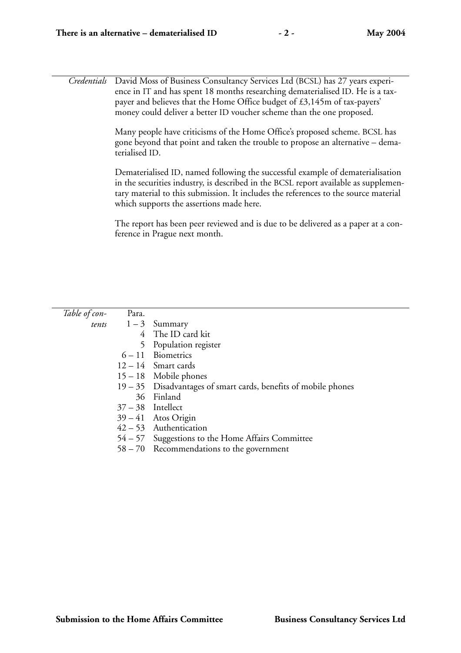*Credentials* David Moss of Business Consultancy Services Ltd (BCSL) has 27 years experience in IT and has spent 18 months researching dematerialised ID. He is a taxpayer and believes that the Home Office budget of £3,145m of tax-payers' money could deliver a better ID voucher scheme than the one proposed.

> Many people have criticisms of the Home Office's proposed scheme. BCSL has gone beyond that point and taken the trouble to propose an alternative – dematerialised ID.

> Dematerialised ID, named following the successful example of dematerialisation in the securities industry, is described in the BCSL report available as supplementary material to this submission. It includes the references to the source material which supports the assertions made here.

> The report has been peer reviewed and is due to be delivered as a paper at a conference in Prague next month.

| Table of con- | Para. |                                                                 |
|---------------|-------|-----------------------------------------------------------------|
|               |       | <i>tents</i> $1-3$ Summary                                      |
|               |       | 4 The ID card kit                                               |
|               |       | 5 Population register                                           |
|               |       | $6 - 11$ Biometrics                                             |
|               |       | $12 - 14$ Smart cards                                           |
|               |       | $15 - 18$ Mobile phones                                         |
|               |       | 19 - 35 Disadvantages of smart cards, benefits of mobile phones |
|               |       | 36 Finland                                                      |
|               |       | $37 - 38$ Intellect                                             |
|               |       | $39 - 41$ Atos Origin                                           |
|               |       | $42-53$ Authentication                                          |
|               |       | 54 – 57 Suggestions to the Home Affairs Committee               |
|               |       | $58 - 70$ Recommendations to the government                     |
|               |       |                                                                 |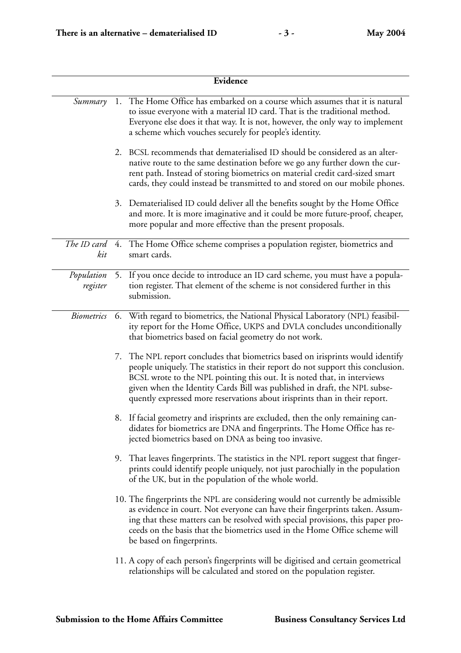| Evidence               |    |                                                                                                                                                                                                                                                                                                                                                                                                          |
|------------------------|----|----------------------------------------------------------------------------------------------------------------------------------------------------------------------------------------------------------------------------------------------------------------------------------------------------------------------------------------------------------------------------------------------------------|
| Summary                | 1. | The Home Office has embarked on a course which assumes that it is natural<br>to issue everyone with a material ID card. That is the traditional method.<br>Everyone else does it that way. It is not, however, the only way to implement<br>a scheme which vouches securely for people's identity.                                                                                                       |
|                        |    | 2. BCSL recommends that dematerialised ID should be considered as an alter-<br>native route to the same destination before we go any further down the cur-<br>rent path. Instead of storing biometrics on material credit card-sized smart<br>cards, they could instead be transmitted to and stored on our mobile phones.                                                                               |
|                        |    | 3. Dematerialised ID could deliver all the benefits sought by the Home Office<br>and more. It is more imaginative and it could be more future-proof, cheaper,<br>more popular and more effective than the present proposals.                                                                                                                                                                             |
| The ID card<br>kit     |    | 4. The Home Office scheme comprises a population register, biometrics and<br>smart cards.                                                                                                                                                                                                                                                                                                                |
| Population<br>register |    | 5. If you once decide to introduce an ID card scheme, you must have a popula-<br>tion register. That element of the scheme is not considered further in this<br>submission.                                                                                                                                                                                                                              |
| <b>Biometrics</b>      | 6. | With regard to biometrics, the National Physical Laboratory (NPL) feasibil-<br>ity report for the Home Office, UKPS and DVLA concludes unconditionally<br>that biometrics based on facial geometry do not work.                                                                                                                                                                                          |
|                        |    | 7. The NPL report concludes that biometrics based on irisprints would identify<br>people uniquely. The statistics in their report do not support this conclusion.<br>BCSL wrote to the NPL pointing this out. It is noted that, in interviews<br>given when the Identity Cards Bill was published in draft, the NPL subse-<br>quently expressed more reservations about irisprints than in their report. |
|                        |    | 8. If facial geometry and irisprints are excluded, then the only remaining can-<br>didates for biometrics are DNA and fingerprints. The Home Office has re-<br>jected biometrics based on DNA as being too invasive.                                                                                                                                                                                     |
|                        | 9. | That leaves fingerprints. The statistics in the NPL report suggest that finger-<br>prints could identify people uniquely, not just parochially in the population<br>of the UK, but in the population of the whole world.                                                                                                                                                                                 |
|                        |    | 10. The fingerprints the NPL are considering would not currently be admissible<br>as evidence in court. Not everyone can have their fingerprints taken. Assum-<br>ing that these matters can be resolved with special provisions, this paper pro-<br>ceeds on the basis that the biometrics used in the Home Office scheme will<br>be based on fingerprints.                                             |
|                        |    | 11. A copy of each person's fingerprints will be digitised and certain geometrical<br>relationships will be calculated and stored on the population register.                                                                                                                                                                                                                                            |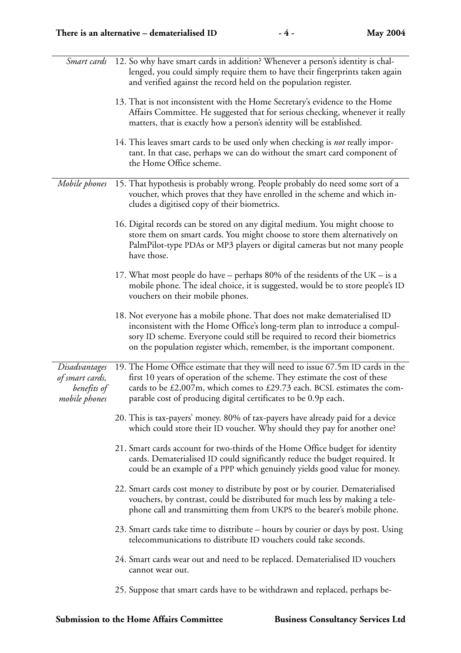| Smart cards                                                      | 12. So why have smart cards in addition? Whenever a person's identity is chal-<br>lenged, you could simply require them to have their fingerprints taken again<br>and verified against the record held on the population register.                                                                               |
|------------------------------------------------------------------|------------------------------------------------------------------------------------------------------------------------------------------------------------------------------------------------------------------------------------------------------------------------------------------------------------------|
|                                                                  | 13. That is not inconsistent with the Home Secretary's evidence to the Home<br>Affairs Committee. He suggested that for serious checking, whenever it really<br>matters, that is exactly how a person's identity will be established.                                                                            |
|                                                                  | 14. This leaves smart cards to be used only when checking is not really impor-<br>tant. In that case, perhaps we can do without the smart card component of<br>the Home Office scheme.                                                                                                                           |
| Mobile phones                                                    | 15. That hypothesis is probably wrong. People probably do need some sort of a<br>voucher, which proves that they have enrolled in the scheme and which in-<br>cludes a digitised copy of their biometrics.                                                                                                       |
|                                                                  | 16. Digital records can be stored on any digital medium. You might choose to<br>store them on smart cards. You might choose to store them alternatively on<br>PalmPilot-type PDAs or MP3 players or digital cameras but not many people<br>have those.                                                           |
|                                                                  | 17. What most people do have – perhaps 80% of the residents of the UK – is a<br>mobile phone. The ideal choice, it is suggested, would be to store people's ID<br>vouchers on their mobile phones.                                                                                                               |
|                                                                  | 18. Not everyone has a mobile phone. That does not make dematerialised ID<br>inconsistent with the Home Office's long-term plan to introduce a compul-<br>sory ID scheme. Everyone could still be required to record their biometrics<br>on the population register which, remember, is the important component. |
| Disadvantages<br>of smart cards,<br>benefits of<br>mobile phones | 19. The Home Office estimate that they will need to issue 67.5m ID cards in the<br>first 10 years of operation of the scheme. They estimate the cost of these<br>cards to be £2,007m, which comes to £29.73 each. BCSL estimates the com-<br>parable cost of producing digital certificates to be 0.9p each.     |
|                                                                  | 20. This is tax-payers' money. 80% of tax-payers have already paid for a device<br>which could store their ID voucher. Why should they pay for another one?                                                                                                                                                      |
|                                                                  | 21. Smart cards account for two-thirds of the Home Office budget for identity<br>cards. Dematerialised ID could significantly reduce the budget required. It<br>could be an example of a PPP which genuinely yields good value for money.                                                                        |
|                                                                  | 22. Smart cards cost money to distribute by post or by courier. Dematerialised<br>vouchers, by contrast, could be distributed for much less by making a tele-<br>phone call and transmitting them from UKPS to the bearer's mobile phone.                                                                        |
|                                                                  | 23. Smart cards take time to distribute – hours by courier or days by post. Using<br>telecommunications to distribute ID vouchers could take seconds.                                                                                                                                                            |
|                                                                  | 24. Smart cards wear out and need to be replaced. Dematerialised ID vouchers<br>cannot wear out.                                                                                                                                                                                                                 |
|                                                                  | 25. Suppose that smart cards have to be withdrawn and replaced, perhaps be-                                                                                                                                                                                                                                      |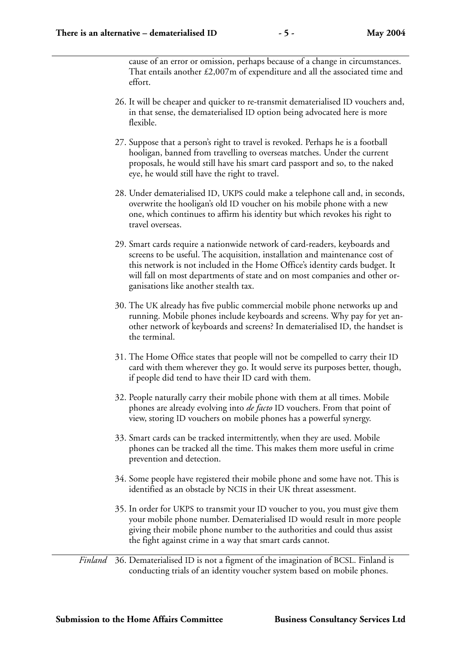cause of an error or omission, perhaps because of a change in circumstances. That entails another £2,007m of expenditure and all the associated time and effort.

- 26. It will be cheaper and quicker to re-transmit dematerialised ID vouchers and, in that sense, the dematerialised ID option being advocated here is more flexible.
- 27. Suppose that a person's right to travel is revoked. Perhaps he is a football hooligan, banned from travelling to overseas matches. Under the current proposals, he would still have his smart card passport and so, to the naked eye, he would still have the right to travel.
- 28. Under dematerialised ID, UKPS could make a telephone call and, in seconds, overwrite the hooligan's old ID voucher on his mobile phone with a new one, which continues to affirm his identity but which revokes his right to travel overseas.
- 29. Smart cards require a nationwide network of card-readers, keyboards and screens to be useful. The acquisition, installation and maintenance cost of this network is not included in the Home Office's identity cards budget. It will fall on most departments of state and on most companies and other organisations like another stealth tax.
- 30. The UK already has five public commercial mobile phone networks up and running. Mobile phones include keyboards and screens. Why pay for yet another network of keyboards and screens? In dematerialised ID, the handset is the terminal.
- 31. The Home Office states that people will not be compelled to carry their ID card with them wherever they go. It would serve its purposes better, though, if people did tend to have their ID card with them.
- 32. People naturally carry their mobile phone with them at all times. Mobile phones are already evolving into *de facto* ID vouchers. From that point of view, storing ID vouchers on mobile phones has a powerful synergy.
- 33. Smart cards can be tracked intermittently, when they are used. Mobile phones can be tracked all the time. This makes them more useful in crime prevention and detection.
- 34. Some people have registered their mobile phone and some have not. This is identified as an obstacle by NCIS in their UK threat assessment.
- 35. In order for UKPS to transmit your ID voucher to you, you must give them your mobile phone number. Dematerialised ID would result in more people giving their mobile phone number to the authorities and could thus assist the fight against crime in a way that smart cards cannot.

*Finland* 36. Dematerialised ID is not a figment of the imagination of BCSL. Finland is conducting trials of an identity voucher system based on mobile phones.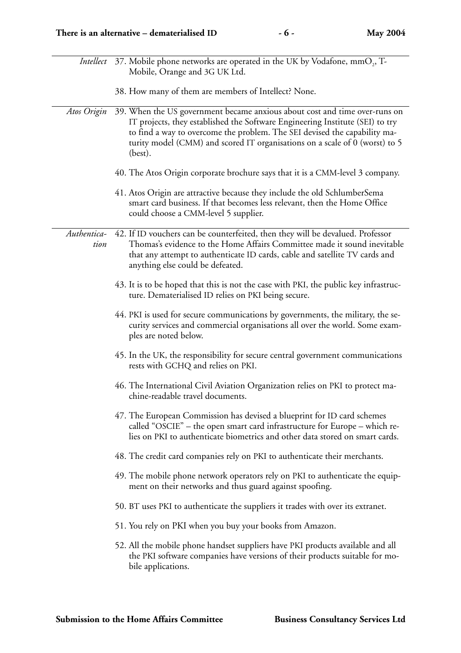|                     | Intellect 37. Mobile phone networks are operated in the UK by Vodafone, mmO <sub>2</sub> , T-<br>Mobile, Orange and 3G UK Ltd.                                                                                                                                                                                                     |
|---------------------|------------------------------------------------------------------------------------------------------------------------------------------------------------------------------------------------------------------------------------------------------------------------------------------------------------------------------------|
|                     | 38. How many of them are members of Intellect? None.                                                                                                                                                                                                                                                                               |
| Atos Origin         | 39. When the US government became anxious about cost and time over-runs on<br>IT projects, they established the Software Engineering Institute (SEI) to try<br>to find a way to overcome the problem. The SEI devised the capability ma-<br>turity model (CMM) and scored IT organisations on a scale of 0 (worst) to 5<br>(best). |
|                     | 40. The Atos Origin corporate brochure says that it is a CMM-level 3 company.                                                                                                                                                                                                                                                      |
|                     | 41. Atos Origin are attractive because they include the old SchlumberSema<br>smart card business. If that becomes less relevant, then the Home Office<br>could choose a CMM-level 5 supplier.                                                                                                                                      |
| Authentica-<br>tion | 42. If ID vouchers can be counterfeited, then they will be devalued. Professor<br>Thomas's evidence to the Home Affairs Committee made it sound inevitable<br>that any attempt to authenticate ID cards, cable and satellite TV cards and<br>anything else could be defeated.                                                      |
|                     | 43. It is to be hoped that this is not the case with PKI, the public key infrastruc-<br>ture. Dematerialised ID relies on PKI being secure.                                                                                                                                                                                        |
|                     | 44. PKI is used for secure communications by governments, the military, the se-<br>curity services and commercial organisations all over the world. Some exam-<br>ples are noted below.                                                                                                                                            |
|                     | 45. In the UK, the responsibility for secure central government communications<br>rests with GCHQ and relies on PKI.                                                                                                                                                                                                               |
|                     | 46. The International Civil Aviation Organization relies on PKI to protect ma-<br>chine-readable travel documents.                                                                                                                                                                                                                 |
|                     | 47. The European Commission has devised a blueprint for ID card schemes<br>called "OSCIE" - the open smart card infrastructure for Europe - which re-<br>lies on PKI to authenticate biometrics and other data stored on smart cards.                                                                                              |
|                     | 48. The credit card companies rely on PKI to authenticate their merchants.                                                                                                                                                                                                                                                         |
|                     | 49. The mobile phone network operators rely on PKI to authenticate the equip-<br>ment on their networks and thus guard against spoofing.                                                                                                                                                                                           |
|                     | 50. BT uses PKI to authenticate the suppliers it trades with over its extranet.                                                                                                                                                                                                                                                    |
|                     | 51. You rely on PKI when you buy your books from Amazon.                                                                                                                                                                                                                                                                           |
|                     | 52. All the mobile phone handset suppliers have PKI products available and all<br>the PKI software companies have versions of their products suitable for mo-<br>bile applications.                                                                                                                                                |
|                     |                                                                                                                                                                                                                                                                                                                                    |